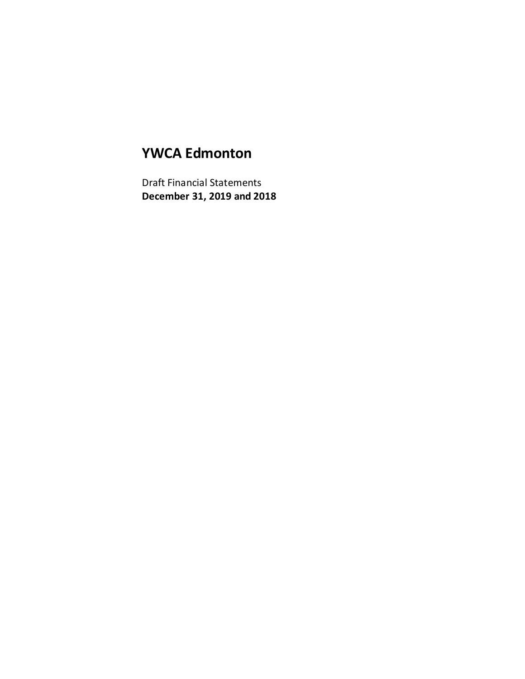# **YWCA Edmonton**

Draft Financial Statements **December 31, 2019 and 2018**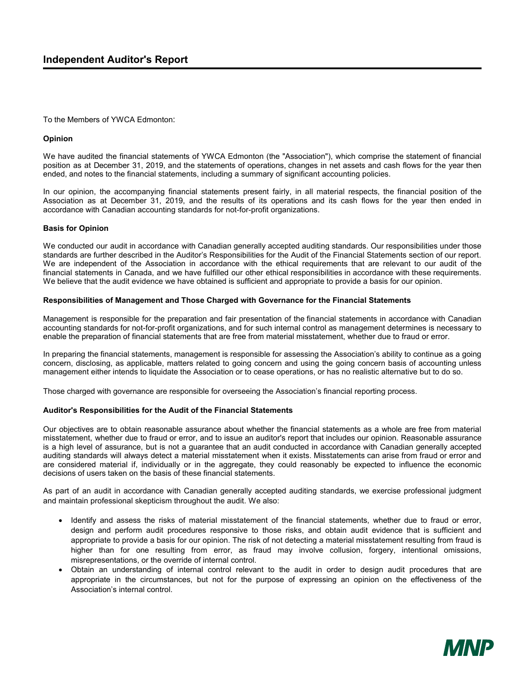#### To the Members of YWCA Edmonton:

#### **Opinion**

We have audited the financial statements of YWCA Edmonton (the "Association"), which comprise the statement of financial position as at December 31, 2019, and the statements of operations, changes in net assets and cash flows for the year then ended, and notes to the financial statements, including a summary of significant accounting policies.

In our opinion, the accompanying financial statements present fairly, in all material respects, the financial position of the Association as at December 31, 2019, and the results of its operations and its cash flows for the year then ended in accordance with Canadian accounting standards for not-for-profit organizations.

#### **Basis for Opinion**

We conducted our audit in accordance with Canadian generally accepted auditing standards. Our responsibilities under those standards are further described in the Auditor's Responsibilities for the Audit of the Financial Statements section of our report. We are independent of the Association in accordance with the ethical requirements that are relevant to our audit of the financial statements in Canada, and we have fulfilled our other ethical responsibilities in accordance with these requirements. We believe that the audit evidence we have obtained is sufficient and appropriate to provide a basis for our opinion.

#### **Responsibilities of Management and Those Charged with Governance for the Financial Statements**

Management is responsible for the preparation and fair presentation of the financial statements in accordance with Canadian accounting standards for not-for-profit organizations, and for such internal control as management determines is necessary to enable the preparation of financial statements that are free from material misstatement, whether due to fraud or error.

In preparing the financial statements, management is responsible for assessing the Association's ability to continue as a going concern, disclosing, as applicable, matters related to going concern and using the going concern basis of accounting unless management either intends to liquidate the Association or to cease operations, or has no realistic alternative but to do so.

Those charged with governance are responsible for overseeing the Association's financial reporting process.

#### **Auditor's Responsibilities for the Audit of the Financial Statements**

Our objectives are to obtain reasonable assurance about whether the financial statements as a whole are free from material misstatement, whether due to fraud or error, and to issue an auditor's report that includes our opinion. Reasonable assurance is a high level of assurance, but is not a guarantee that an audit conducted in accordance with Canadian generally accepted auditing standards will always detect a material misstatement when it exists. Misstatements can arise from fraud or error and are considered material if, individually or in the aggregate, they could reasonably be expected to influence the economic decisions of users taken on the basis of these financial statements.

As part of an audit in accordance with Canadian generally accepted auditing standards, we exercise professional judgment and maintain professional skepticism throughout the audit. We also:

- Identify and assess the risks of material misstatement of the financial statements, whether due to fraud or error, design and perform audit procedures responsive to those risks, and obtain audit evidence that is sufficient and appropriate to provide a basis for our opinion. The risk of not detecting a material misstatement resulting from fraud is higher than for one resulting from error, as fraud may involve collusion, forgery, intentional omissions, misrepresentations, or the override of internal control.
- Obtain an understanding of internal control relevant to the audit in order to design audit procedures that are appropriate in the circumstances, but not for the purpose of expressing an opinion on the effectiveness of the Association's internal control.

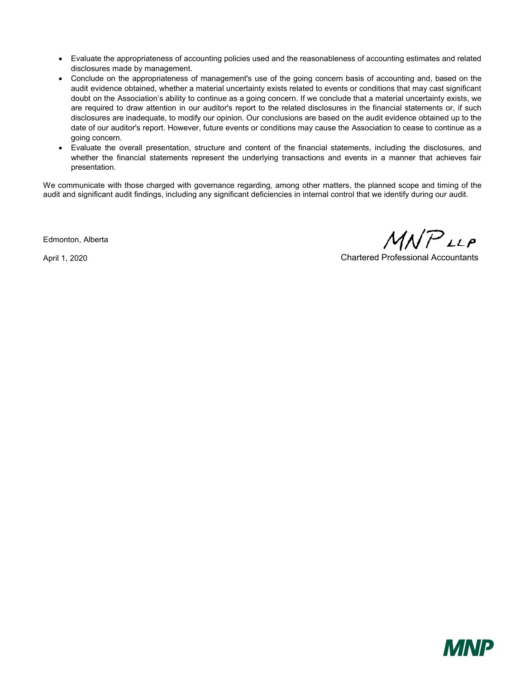- Evaluate the appropriateness of accounting policies used and the reasonableness of accounting estimates and related disclosures made by management.
- Conclude on the appropriateness of management's use of the going concern basis of accounting and, based on the audit evidence obtained, whether a material uncertainty exists related to events or conditions that may cast significant doubt on the Association's ability to continue as a going concern. If we conclude that a material uncertainty exists, we are required to draw attention in our auditor's report to the related disclosures in the financial statements or, if such disclosures are inadequate, to modify our opinion. Our conclusions are based on the audit evidence obtained up to the date of our auditor's report. However, future events or conditions may cause the Association to cease to continue as a going concern.
- Evaluate the overall presentation, structure and content of the financial statements, including the disclosures, and whether the financial statements represent the underlying transactions and events in a manner that achieves fair presentation.

We communicate with those charged with governance regarding, among other matters, the planned scope and timing of the audit and significant audit findings, including any significant deficiencies in internal control that we identify during our audit.

Edmonton, Alberta

 $MNP$ LLP

April 1, 2020 Chartered Professional Accountants

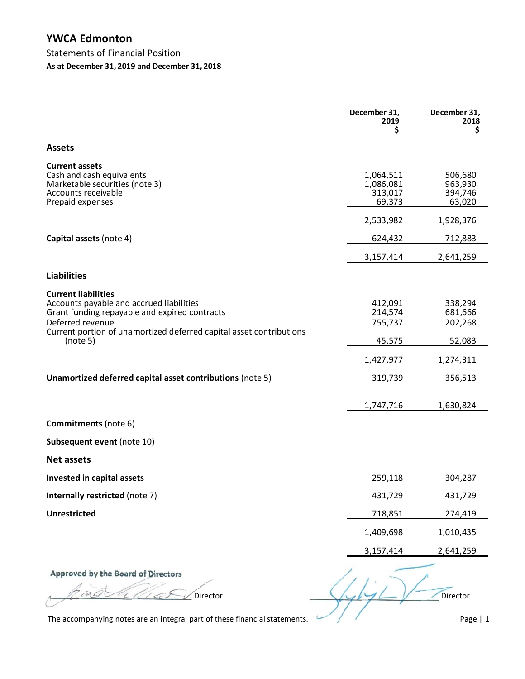|                                                                                                                                                                                                                                | December 31,<br>2019<br>\$                  | December 31,<br>2018<br>\$              |
|--------------------------------------------------------------------------------------------------------------------------------------------------------------------------------------------------------------------------------|---------------------------------------------|-----------------------------------------|
| <b>Assets</b>                                                                                                                                                                                                                  |                                             |                                         |
| <b>Current assets</b><br>Cash and cash equivalents<br>Marketable securities (note 3)<br>Accounts receivable<br>Prepaid expenses                                                                                                | 1,064,511<br>1,086,081<br>313,017<br>69,373 | 506,680<br>963,930<br>394,746<br>63,020 |
|                                                                                                                                                                                                                                | 2,533,982                                   | 1,928,376                               |
| Capital assets (note 4)                                                                                                                                                                                                        | 624,432                                     | 712,883                                 |
|                                                                                                                                                                                                                                | 3,157,414                                   | 2,641,259                               |
| <b>Liabilities</b>                                                                                                                                                                                                             |                                             |                                         |
| <b>Current liabilities</b><br>Accounts payable and accrued liabilities<br>Grant funding repayable and expired contracts<br>Deferred revenue<br>Current portion of unamortized deferred capital asset contributions<br>(note 5) | 412,091<br>214,574<br>755,737<br>45,575     | 338,294<br>681,666<br>202,268<br>52,083 |
|                                                                                                                                                                                                                                | 1,427,977                                   | 1,274,311                               |
| Unamortized deferred capital asset contributions (note 5)                                                                                                                                                                      | 319,739                                     | 356,513                                 |
|                                                                                                                                                                                                                                | 1,747,716                                   | 1,630,824                               |
| <b>Commitments</b> (note 6)                                                                                                                                                                                                    |                                             |                                         |
| Subsequent event (note 10)                                                                                                                                                                                                     |                                             |                                         |
| Net assets                                                                                                                                                                                                                     |                                             |                                         |
| Invested in capital assets                                                                                                                                                                                                     | 259,118                                     | 304,287                                 |
| Internally restricted (note 7)                                                                                                                                                                                                 | 431,729                                     | 431,729                                 |
| <b>Unrestricted</b>                                                                                                                                                                                                            | 718,851                                     | 274,419                                 |
|                                                                                                                                                                                                                                | 1,409,698                                   | 1,010,435                               |
|                                                                                                                                                                                                                                | 3,157,414                                   | 2,641,259                               |
| Annroyad by the Roard of Directors                                                                                                                                                                                             |                                             |                                         |

head the the Serventor

 $\sqrt{1-\frac{1}{2}}$ Director

The accompanying notes are an integral part of these financial statements.

Page | 1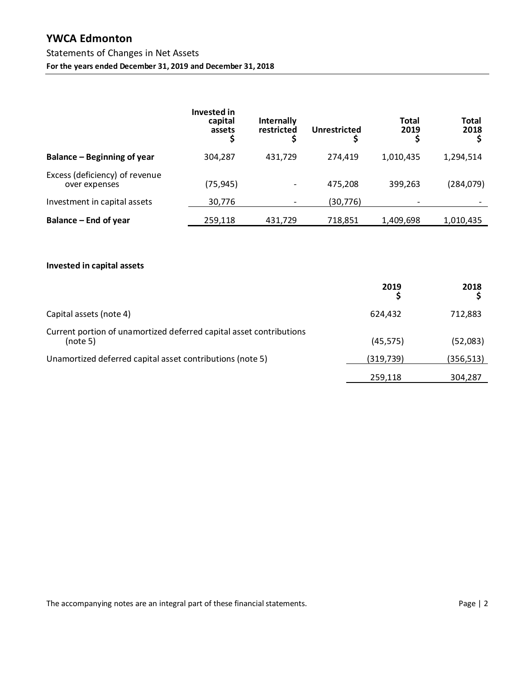# **YWCA Edmonton**

## Statements of Changes in Net Assets

**For the years ended December 31, 2019 and December 31, 2018** 

|                                                 | Invested in<br>capital<br>assets | Internally<br>restricted | <b>Unrestricted</b> | <b>Total</b><br>2019 | <b>Total</b><br>2018 |
|-------------------------------------------------|----------------------------------|--------------------------|---------------------|----------------------|----------------------|
| Balance – Beginning of year                     | 304,287                          | 431.729                  | 274.419             | 1,010,435            | 1,294,514            |
| Excess (deficiency) of revenue<br>over expenses | (75, 945)                        | -                        | 475,208             | 399,263              | (284, 079)           |
| Investment in capital assets                    | 30,776                           | $\overline{\phantom{a}}$ | (30, 776)           |                      |                      |
| Balance – End of year                           | 259,118                          | 431,729                  | 718,851             | 1,409,698            | 1,010,435            |

### **Invested in capital assets**

|                                                                                 | 2019      | 2018       |
|---------------------------------------------------------------------------------|-----------|------------|
| Capital assets (note 4)                                                         | 624.432   | 712,883    |
| Current portion of unamortized deferred capital asset contributions<br>(note 5) | (45, 575) | (52,083)   |
| Unamortized deferred capital asset contributions (note 5)                       | (319,739) | (356, 513) |
|                                                                                 | 259,118   | 304,287    |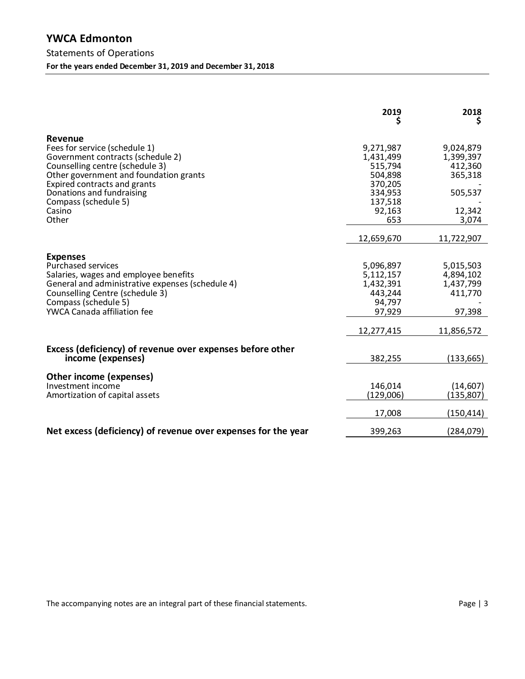## **YWCA Edmonton**  Statements of Operations **For the years ended December 31, 2019 and December 31, 2018**

|                                                                                                                                                                                                                                                                           | 2019<br>Ş                                                                                      | 2018<br>Ş                                                                  |
|---------------------------------------------------------------------------------------------------------------------------------------------------------------------------------------------------------------------------------------------------------------------------|------------------------------------------------------------------------------------------------|----------------------------------------------------------------------------|
| <b>Revenue</b><br>Fees for service (schedule 1)<br>Government contracts (schedule 2)<br>Counselling centre (schedule 3)<br>Other government and foundation grants<br>Expired contracts and grants<br>Donations and fundraising<br>Compass (schedule 5)<br>Casino<br>Other | 9,271,987<br>1,431,499<br>515,794<br>504,898<br>370,205<br>334,953<br>137,518<br>92,163<br>653 | 9,024,879<br>1,399,397<br>412,360<br>365,318<br>505,537<br>12,342<br>3,074 |
|                                                                                                                                                                                                                                                                           | 12,659,670                                                                                     | 11,722,907                                                                 |
| <b>Expenses</b><br><b>Purchased services</b><br>Salaries, wages and employee benefits<br>General and administrative expenses (schedule 4)<br>Counselling Centre (schedule 3)<br>Compass (schedule 5)<br><b>YWCA Canada affiliation fee</b>                                | 5,096,897<br>5,112,157<br>1,432,391<br>443,244<br>94,797<br>97,929                             | 5,015,503<br>4,894,102<br>1,437,799<br>411,770<br>97,398                   |
|                                                                                                                                                                                                                                                                           | 12,277,415                                                                                     | 11,856,572                                                                 |
| Excess (deficiency) of revenue over expenses before other<br>income (expenses)                                                                                                                                                                                            | 382,255                                                                                        | (133, 665)                                                                 |
| Other income (expenses)<br>Investment income<br>Amortization of capital assets                                                                                                                                                                                            | 146,014<br>(129,006)<br>17,008                                                                 | (14, 607)<br>(135, 807)<br>(150,414)                                       |
| Net excess (deficiency) of revenue over expenses for the year                                                                                                                                                                                                             | 399,263                                                                                        | (284,079)                                                                  |

The accompanying notes are an integral part of these financial statements. The accompanying notes are an integral part of these financial statements.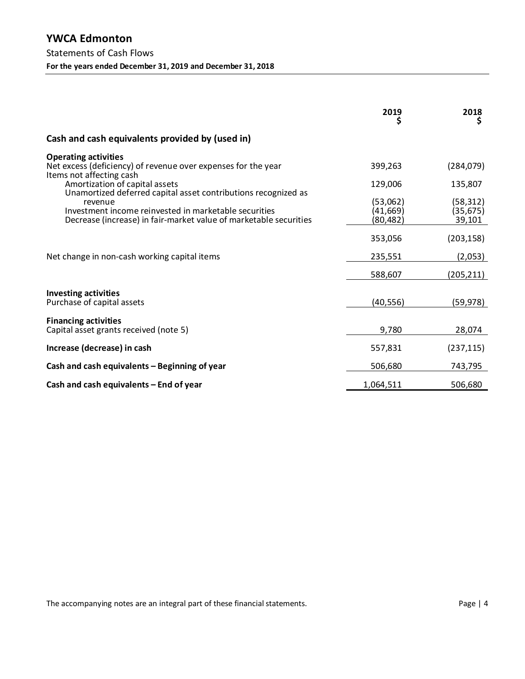|                                                                                                                                                                                                                                                                                                                                                                       | 2019                                                    | 2018<br>Ş                                                 |
|-----------------------------------------------------------------------------------------------------------------------------------------------------------------------------------------------------------------------------------------------------------------------------------------------------------------------------------------------------------------------|---------------------------------------------------------|-----------------------------------------------------------|
| Cash and cash equivalents provided by (used in)                                                                                                                                                                                                                                                                                                                       |                                                         |                                                           |
| <b>Operating activities</b><br>Net excess (deficiency) of revenue over expenses for the year<br>Items not affecting cash<br>Amortization of capital assets<br>Unamortized deferred capital asset contributions recognized as<br>revenue<br>Investment income reinvested in marketable securities<br>Decrease (increase) in fair-market value of marketable securities | 399,263<br>129,006<br>(53,062)<br>(41, 669)<br>(80,482) | (284, 079)<br>135,807<br>(58, 312)<br>(35, 675)<br>39,101 |
| Net change in non-cash working capital items                                                                                                                                                                                                                                                                                                                          | 353,056<br>235,551                                      | (203, 158)<br>(2,053)                                     |
|                                                                                                                                                                                                                                                                                                                                                                       | 588,607                                                 | (205,211)                                                 |
| <b>Investing activities</b><br>Purchase of capital assets                                                                                                                                                                                                                                                                                                             | (40,556)                                                | (59, 978)                                                 |
| <b>Financing activities</b><br>Capital asset grants received (note 5)                                                                                                                                                                                                                                                                                                 | 9,780                                                   | 28,074                                                    |
| Increase (decrease) in cash                                                                                                                                                                                                                                                                                                                                           | 557,831                                                 | (237, 115)                                                |
| Cash and cash equivalents - Beginning of year                                                                                                                                                                                                                                                                                                                         | 506,680                                                 | 743,795                                                   |
| Cash and cash equivalents - End of year                                                                                                                                                                                                                                                                                                                               | 1,064,511                                               | 506,680                                                   |

The accompanying notes are an integral part of these financial statements. The accompanying notes are an integral part of these financial statements.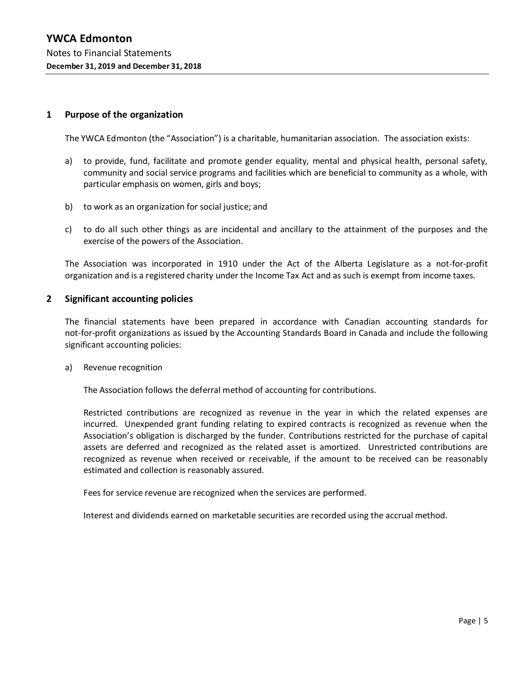#### **1 Purpose of the organization**

The YWCA Edmonton (the "Association") is a charitable, humanitarian association. The association exists:

- a) to provide, fund, facilitate and promote gender equality, mental and physical health, personal safety, community and social service programs and facilities which are beneficial to community as a whole, with particular emphasis on women, girls and boys;
- b) to work as an organization for social justice; and
- c) to do all such other things as are incidental and ancillary to the attainment of the purposes and the exercise of the powers of the Association.

The Association was incorporated in 1910 under the Act of the Alberta Legislature as a not-for-profit organization and is a registered charity under the Income Tax Act and as such is exempt from income taxes.

#### **2 Significant accounting policies**

The financial statements have been prepared in accordance with Canadian accounting standards for not-for-profit organizations as issued by the Accounting Standards Board in Canada and include the following significant accounting policies:

a) Revenue recognition

The Association follows the deferral method of accounting for contributions.

Restricted contributions are recognized as revenue in the year in which the related expenses are incurred. Unexpended grant funding relating to expired contracts is recognized as revenue when the Association's obligation is discharged by the funder. Contributions restricted for the purchase of capital assets are deferred and recognized as the related asset is amortized. Unrestricted contributions are recognized as revenue when received or receivable, if the amount to be received can be reasonably estimated and collection is reasonably assured.

Fees for service revenue are recognized when the services are performed.

Interest and dividends earned on marketable securities are recorded using the accrual method.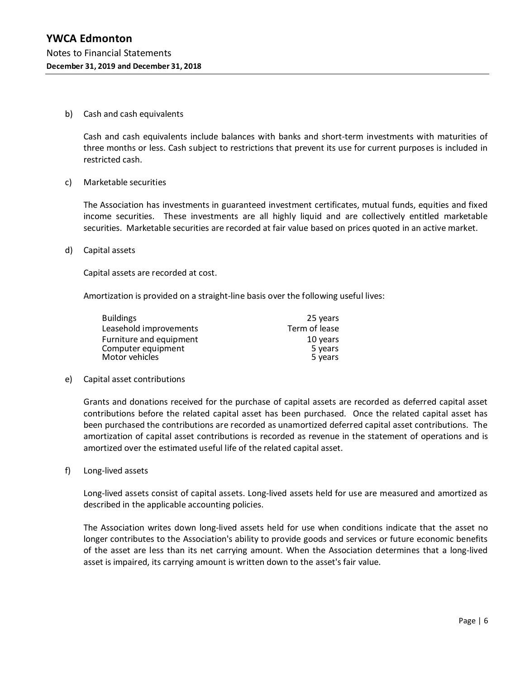#### b) Cash and cash equivalents

Cash and cash equivalents include balances with banks and short-term investments with maturities of three months or less. Cash subject to restrictions that prevent its use for current purposes is included in restricted cash.

#### c) Marketable securities

The Association has investments in guaranteed investment certificates, mutual funds, equities and fixed income securities. These investments are all highly liquid and are collectively entitled marketable securities. Marketable securities are recorded at fair value based on prices quoted in an active market.

#### d) Capital assets

Capital assets are recorded at cost.

Amortization is provided on a straight-line basis over the following useful lives:

| <b>Buildings</b>        | 25 years      |
|-------------------------|---------------|
| Leasehold improvements  | Term of lease |
| Furniture and equipment | 10 years      |
| Computer equipment      | 5 years       |
| Motor vehicles          | 5 years       |

#### e) Capital asset contributions

Grants and donations received for the purchase of capital assets are recorded as deferred capital asset contributions before the related capital asset has been purchased. Once the related capital asset has been purchased the contributions are recorded as unamortized deferred capital asset contributions. The amortization of capital asset contributions is recorded as revenue in the statement of operations and is amortized over the estimated useful life of the related capital asset.

f) Long-lived assets

Long-lived assets consist of capital assets. Long-lived assets held for use are measured and amortized as described in the applicable accounting policies.

The Association writes down long-lived assets held for use when conditions indicate that the asset no longer contributes to the Association's ability to provide goods and services or future economic benefits of the asset are less than its net carrying amount. When the Association determines that a long-lived asset is impaired, its carrying amount is written down to the asset's fair value.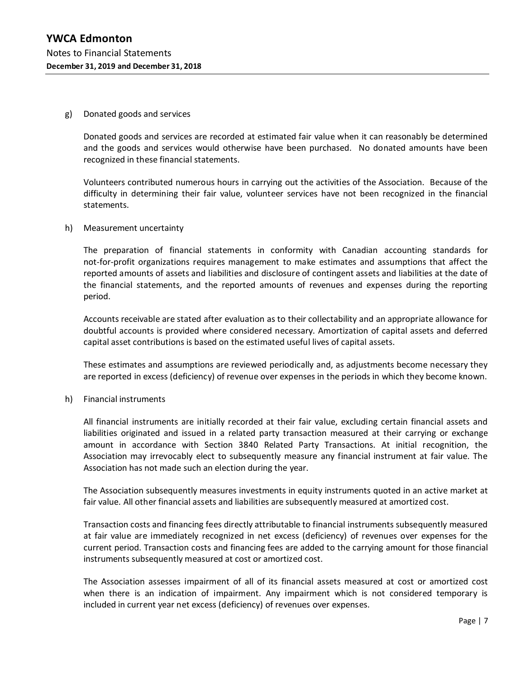#### g) Donated goods and services

Donated goods and services are recorded at estimated fair value when it can reasonably be determined and the goods and services would otherwise have been purchased. No donated amounts have been recognized in these financial statements.

Volunteers contributed numerous hours in carrying out the activities of the Association. Because of the difficulty in determining their fair value, volunteer services have not been recognized in the financial statements.

#### h) Measurement uncertainty

The preparation of financial statements in conformity with Canadian accounting standards for not-for-profit organizations requires management to make estimates and assumptions that affect the reported amounts of assets and liabilities and disclosure of contingent assets and liabilities at the date of the financial statements, and the reported amounts of revenues and expenses during the reporting period.

Accounts receivable are stated after evaluation as to their collectability and an appropriate allowance for doubtful accounts is provided where considered necessary. Amortization of capital assets and deferred capital asset contributions is based on the estimated useful lives of capital assets.

These estimates and assumptions are reviewed periodically and, as adjustments become necessary they are reported in excess (deficiency) of revenue over expenses in the periods in which they become known.

h) Financial instruments

All financial instruments are initially recorded at their fair value, excluding certain financial assets and liabilities originated and issued in a related party transaction measured at their carrying or exchange amount in accordance with Section 3840 Related Party Transactions. At initial recognition, the Association may irrevocably elect to subsequently measure any financial instrument at fair value. The Association has not made such an election during the year.

The Association subsequently measures investments in equity instruments quoted in an active market at fair value. All other financial assets and liabilities are subsequently measured at amortized cost.

Transaction costs and financing fees directly attributable to financial instruments subsequently measured at fair value are immediately recognized in net excess (deficiency) of revenues over expenses for the current period. Transaction costs and financing fees are added to the carrying amount for those financial instruments subsequently measured at cost or amortized cost.

The Association assesses impairment of all of its financial assets measured at cost or amortized cost when there is an indication of impairment. Any impairment which is not considered temporary is included in current year net excess (deficiency) of revenues over expenses.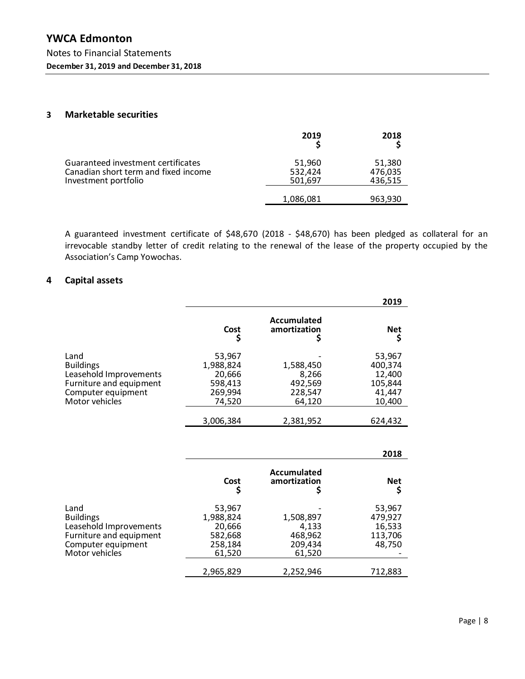#### **3 Marketable securities**

|                                                                                                    | 2019                         | 2018                         |
|----------------------------------------------------------------------------------------------------|------------------------------|------------------------------|
| Guaranteed investment certificates<br>Canadian short term and fixed income<br>Investment portfolio | 51,960<br>532,424<br>501,697 | 51,380<br>476,035<br>436,515 |
|                                                                                                    | 1,086,081                    | 963,930                      |

A guaranteed investment certificate of \$48,670 (2018 - \$48,670) has been pledged as collateral for an irrevocable standby letter of credit relating to the renewal of the lease of the property occupied by the Association's Camp Yowochas.

#### **4 Capital assets**

|                         |           |                             | 2019       |
|-------------------------|-----------|-----------------------------|------------|
|                         | Cost      | Accumulated<br>amortization | <b>Net</b> |
| Land                    | 53,967    |                             | 53,967     |
| <b>Buildings</b>        | 1,988,824 | 1,588,450                   | 400,374    |
| Leasehold Improvements  | 20,666    | 8,266                       | 12,400     |
| Furniture and equipment | 598,413   | 492,569                     | 105,844    |
| Computer equipment      | 269,994   | 228,547                     | 41,447     |
| Motor vehicles          | 74,520    | 64,120                      | 10,400     |
|                         | 3,006,384 | 2,381,952                   | 624,432    |

|                                                                                                                       |                                                               |                                                    | 2018                                             |
|-----------------------------------------------------------------------------------------------------------------------|---------------------------------------------------------------|----------------------------------------------------|--------------------------------------------------|
|                                                                                                                       | Cost                                                          | Accumulated<br>amortization                        | <b>Net</b><br>\$                                 |
| Land<br><b>Buildings</b><br>Leasehold Improvements<br>Furniture and equipment<br>Computer equipment<br>Motor vehicles | 53,967<br>1,988,824<br>20,666<br>582,668<br>258,184<br>61,520 | 1,508,897<br>4,133<br>468,962<br>209,434<br>61,520 | 53,967<br>479,927<br>16,533<br>113,706<br>48,750 |
|                                                                                                                       | 2,965,829                                                     | 2,252,946                                          | 712,883                                          |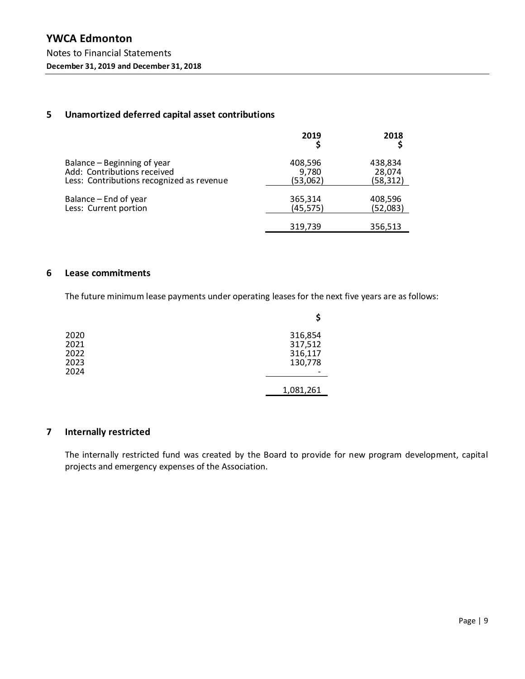### **5 Unamortized deferred capital asset contributions**

|                                           | 2019      | 2018     |
|-------------------------------------------|-----------|----------|
| Balance – Beginning of year               | 408,596   | 438,834  |
| Add: Contributions received               | 9,780     | 28,074   |
| Less: Contributions recognized as revenue | (53,062)  | (58,312) |
| Balance – End of year                     | 365,314   | 408,596  |
| Less: Current portion                     | (45, 575) | (52,083) |
|                                           | 319,739   | 356,513  |

#### **6 Lease commitments**

The future minimum lease payments under operating leases for the next five years are as follows:

| 2020 | 316,854   |
|------|-----------|
| 2021 | 317,512   |
| 2022 | 316,117   |
| 2023 | 130,778   |
| 2024 |           |
|      | 1,081,261 |

### **7 Internally restricted**

The internally restricted fund was created by the Board to provide for new program development, capital projects and emergency expenses of the Association.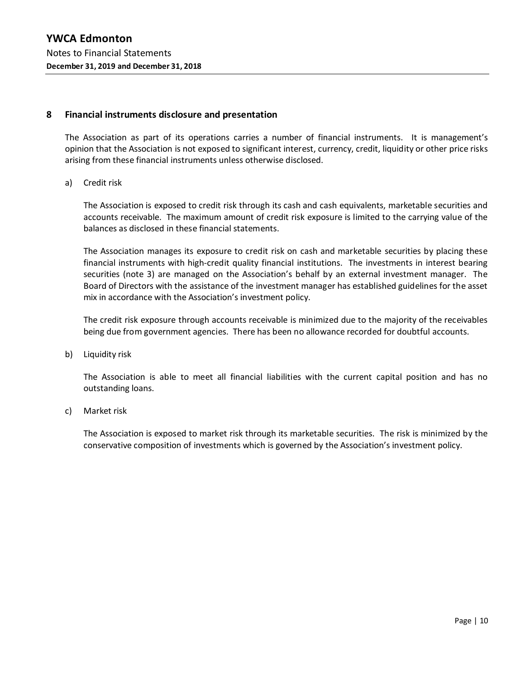#### **8 Financial instruments disclosure and presentation**

The Association as part of its operations carries a number of financial instruments. It is management's opinion that the Association is not exposed to significant interest, currency, credit, liquidity or other price risks arising from these financial instruments unless otherwise disclosed.

a) Credit risk

The Association is exposed to credit risk through its cash and cash equivalents, marketable securities and accounts receivable. The maximum amount of credit risk exposure is limited to the carrying value of the balances as disclosed in these financial statements.

The Association manages its exposure to credit risk on cash and marketable securities by placing these financial instruments with high-credit quality financial institutions. The investments in interest bearing securities (note 3) are managed on the Association's behalf by an external investment manager. The Board of Directors with the assistance of the investment manager has established guidelines for the asset mix in accordance with the Association's investment policy.

The credit risk exposure through accounts receivable is minimized due to the majority of the receivables being due from government agencies. There has been no allowance recorded for doubtful accounts.

b) Liquidity risk

The Association is able to meet all financial liabilities with the current capital position and has no outstanding loans.

c) Market risk

The Association is exposed to market risk through its marketable securities. The risk is minimized by the conservative composition of investments which is governed by the Association's investment policy.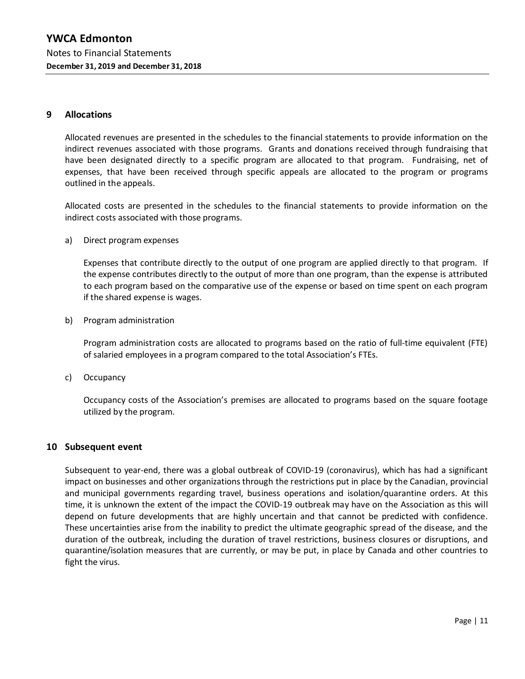#### **9 Allocations**

Allocated revenues are presented in the schedules to the financial statements to provide information on the indirect revenues associated with those programs. Grants and donations received through fundraising that have been designated directly to a specific program are allocated to that program. Fundraising, net of expenses, that have been received through specific appeals are allocated to the program or programs outlined in the appeals.

Allocated costs are presented in the schedules to the financial statements to provide information on the indirect costs associated with those programs.

a) Direct program expenses

Expenses that contribute directly to the output of one program are applied directly to that program. If the expense contributes directly to the output of more than one program, than the expense is attributed to each program based on the comparative use of the expense or based on time spent on each program if the shared expense is wages.

b) Program administration

Program administration costs are allocated to programs based on the ratio of full-time equivalent (FTE) of salaried employees in a program compared to the total Association's FTEs.

c) Occupancy

Occupancy costs of the Association's premises are allocated to programs based on the square footage utilized by the program.

#### **10 Subsequent event**

Subsequent to year-end, there was a global outbreak of COVID-19 (coronavirus), which has had a significant impact on businesses and other organizations through the restrictions put in place by the Canadian, provincial and municipal governments regarding travel, business operations and isolation/quarantine orders. At this time, it is unknown the extent of the impact the COVID-19 outbreak may have on the Association as this will depend on future developments that are highly uncertain and that cannot be predicted with confidence. These uncertainties arise from the inability to predict the ultimate geographic spread of the disease, and the duration of the outbreak, including the duration of travel restrictions, business closures or disruptions, and quarantine/isolation measures that are currently, or may be put, in place by Canada and other countries to fight the virus.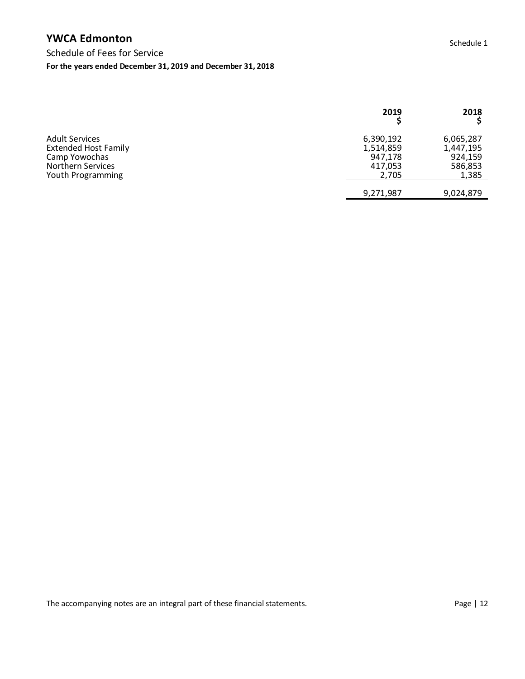|                                                                                                                        | 2019                                                  | 2018                                                  |
|------------------------------------------------------------------------------------------------------------------------|-------------------------------------------------------|-------------------------------------------------------|
| <b>Adult Services</b><br><b>Extended Host Family</b><br>Camp Yowochas<br><b>Northern Services</b><br>Youth Programming | 6,390,192<br>1,514,859<br>947,178<br>417,053<br>2,705 | 6,065,287<br>1,447,195<br>924,159<br>586,853<br>1,385 |
|                                                                                                                        | 9,271,987                                             | 9,024,879                                             |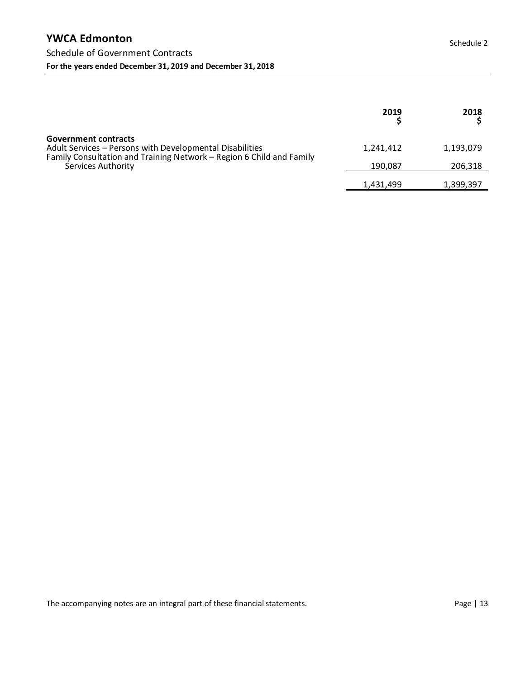|                                                                                                                                                                                       | 2019      | 2018      |
|---------------------------------------------------------------------------------------------------------------------------------------------------------------------------------------|-----------|-----------|
| <b>Government contracts</b><br>Adult Services - Persons with Developmental Disabilities<br>Family Consultation and Training Network – Region 6 Child and Family<br>Services Authority | 1,241,412 | 1,193,079 |
|                                                                                                                                                                                       | 190.087   | 206,318   |
|                                                                                                                                                                                       | 1,431,499 | 1,399,397 |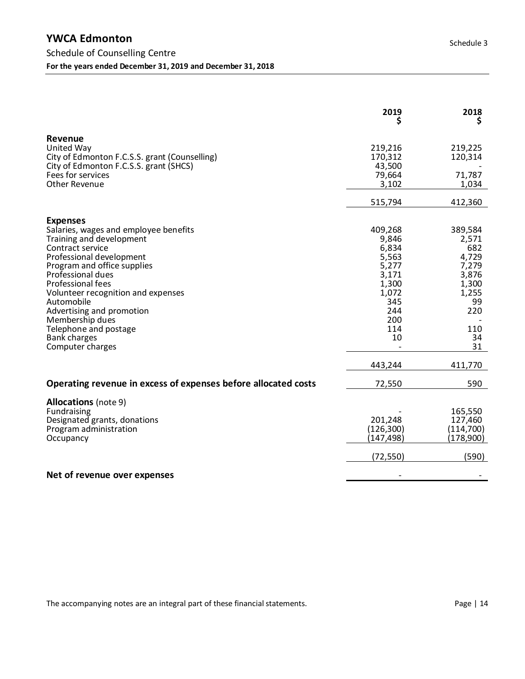|                                                                                                                                                                                                                                                                                                                                                                                | 2019                                                                                                     | 2018                                                                                                 |
|--------------------------------------------------------------------------------------------------------------------------------------------------------------------------------------------------------------------------------------------------------------------------------------------------------------------------------------------------------------------------------|----------------------------------------------------------------------------------------------------------|------------------------------------------------------------------------------------------------------|
| <b>Revenue</b><br>United Way<br>City of Edmonton F.C.S.S. grant (Counselling)<br>City of Edmonton F.C.S.S. grant (SHCS)<br>Fees for services<br><b>Other Revenue</b>                                                                                                                                                                                                           | 219,216<br>170,312<br>43,500<br>79,664<br>3,102                                                          | 219,225<br>120,314<br>71,787<br>1,034                                                                |
|                                                                                                                                                                                                                                                                                                                                                                                | 515,794                                                                                                  | 412,360                                                                                              |
| <b>Expenses</b><br>Salaries, wages and employee benefits<br>Training and development<br>Contract service<br>Professional development<br>Program and office supplies<br>Professional dues<br>Professional fees<br>Volunteer recognition and expenses<br>Automobile<br>Advertising and promotion<br>Membership dues<br>Telephone and postage<br>Bank charges<br>Computer charges | 409,268<br>9,846<br>6,834<br>5,563<br>5,277<br>3,171<br>1,300<br>1,072<br>345<br>244<br>200<br>114<br>10 | 389,584<br>2,571<br>682<br>4,729<br>7,279<br>3,876<br>1,300<br>1,255<br>99<br>220<br>110<br>34<br>31 |
|                                                                                                                                                                                                                                                                                                                                                                                | 443,244                                                                                                  | 411,770                                                                                              |
| Operating revenue in excess of expenses before allocated costs                                                                                                                                                                                                                                                                                                                 | 72,550                                                                                                   | 590                                                                                                  |
| <b>Allocations</b> (note 9)<br>Fundraising<br>Designated grants, donations<br>Program administration<br>Occupancy                                                                                                                                                                                                                                                              | 201,248<br>(126, 300)<br>(147,498)<br>(72, 550)                                                          | 165,550<br>127,460<br>(114, 700)<br>(178,900)<br>(590)                                               |
| Net of revenue over expenses                                                                                                                                                                                                                                                                                                                                                   |                                                                                                          |                                                                                                      |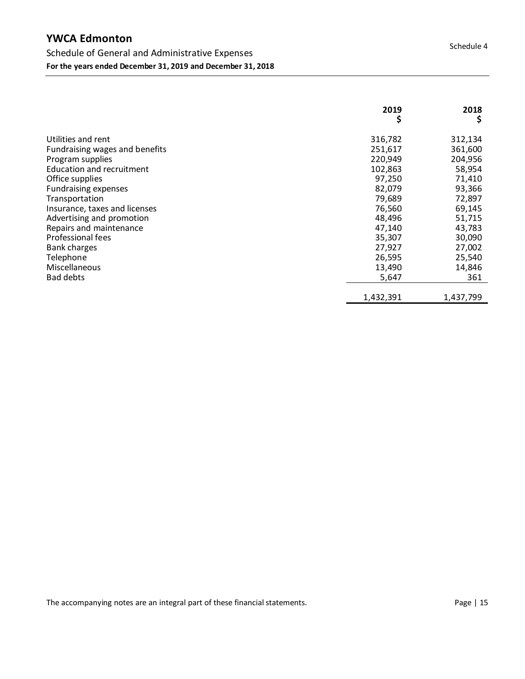# **YWCA Edmonton**

|                                | 2019<br>\$ | 2018<br>\$ |
|--------------------------------|------------|------------|
| Utilities and rent             | 316,782    | 312,134    |
| Fundraising wages and benefits | 251,617    | 361,600    |
| Program supplies               | 220,949    | 204,956    |
| Education and recruitment      | 102,863    | 58,954     |
| Office supplies                | 97,250     | 71,410     |
| <b>Fundraising expenses</b>    | 82,079     | 93,366     |
| Transportation                 | 79,689     | 72,897     |
| Insurance, taxes and licenses  | 76,560     | 69,145     |
| Advertising and promotion      | 48,496     | 51,715     |
| Repairs and maintenance        | 47,140     | 43,783     |
| Professional fees              | 35,307     | 30,090     |
| <b>Bank charges</b>            | 27,927     | 27,002     |
| Telephone                      | 26,595     | 25,540     |
| Miscellaneous                  | 13,490     | 14,846     |
| <b>Bad debts</b>               | 5,647      | 361        |
|                                | 1,432,391  | 1,437,799  |